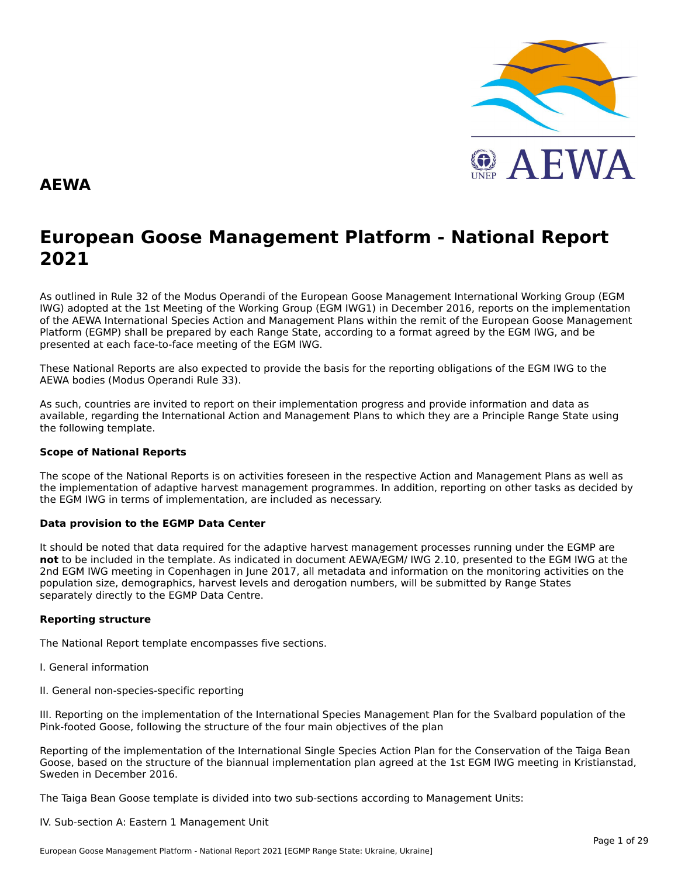

#### **AEWA**

## **European Goose Management Platform - National Report**European Goose Management Platform - National Report<br>2021

As outlined in Rule 32 of the Modus Operandi of the European Goose Management International Working Group (EGM As buthled in Rule 32 of the Modus Operandi of the Lufopean Goose Management International Working Group (LGM<br>IWG) adopted at the 1st Meeting of the Working Group (EGM IWG1) in December 2016, reports on the implementation of the AEWA International Species Action and Management Plans within the remit of the European Goose Management<br>of the AEWA International Species Action and Management Plans within the remit of the European Goose Managemen Platform (EGMP) shall be prepared by each Range State, according to a format agreed by the EGM IWG, and be presented at each face-to-face meeting of the EGM IWG.

These National Reports are also expected to provide the basis for the reporting obligations of the EGM IWG to the AEWA bodies (Modus Operandi Rule 33).

As such, countries are invited to report on their implementation progress and provide information and data asAs such, countries are invited to report on their implementation progress and provide imomiation and data as<br>available, regarding the International Action and Management Plans to which they are a Principle Range State usin the following template.

#### **Scope of National Reports**

The scope of the National Reports is on activities foreseen in the respective Action and Management Plans as well as<br>the invalence total of adoptive harvest management are respective and dition are atting on other today as the implementation of adaptive harvest management programmes. In addition, reporting on other tasks as decided by the EGM IWG in terms of implementation, are included as necessary.

#### **Data provision to the EGMP Data Center**

It should be noted that data required for the adaptive harvest management processes running under the EGMP are not to be included in the template. As indicated in document AEWA/EGM/ IWG 2.10, presented to the EGM IWG at the 2nd EGM IWG meeting in Copenhagen in June 2017, all metadata and information on the monitoring activities on the population size, demographics, harvest levels and derogation numbers, will be submitted by Range States separately directly to the EGMP Data Centre.

#### **Reporting structure**

The National Report template encompasses five sections.

- I. General information
- II. General non-species-specific reporting

III. Reporting on the implementation of the International Species Management Plan for the Svalbard population of the Pink-footed Goose, following the structure of the four main objectives of the plan

Reporting of the implementation of the International Single Species Action Plan for the Conservation of the Taiga Bean Goose, based on the structure of the biannual implementation plan agreed at the 1st EGM IWG meeting in Kristianstad, Sweden in December 2016.

The Taiga Bean Goose template is divided into two sub-sections according to Management Units:

#### IV. Sub-section A: Eastern 1 Management Unit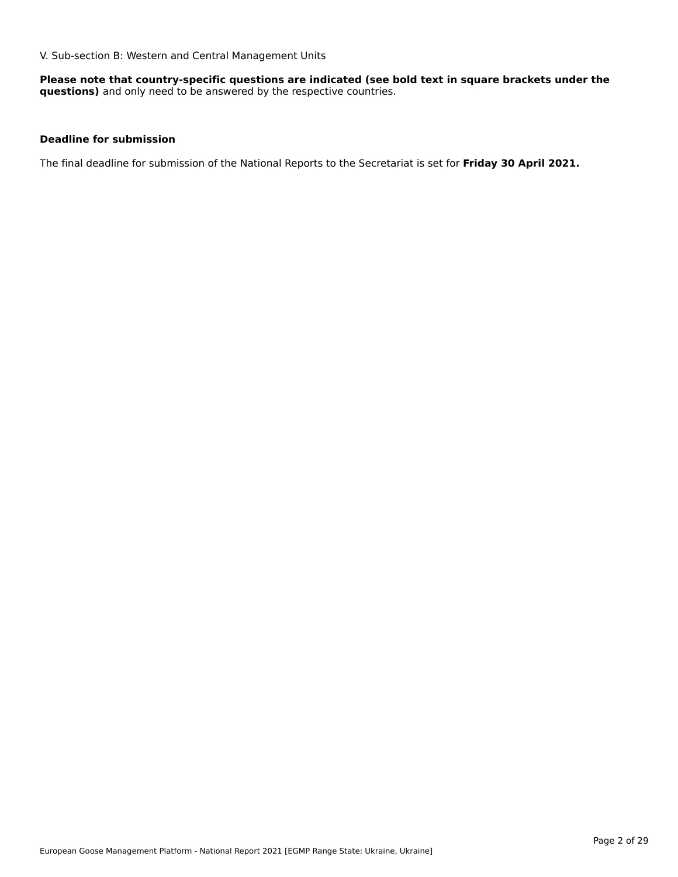V. Sub-section B: Western and Central Management Units

**Please note that country-specific questions are indicated (see bold text in square brackets under the questions)** and only need to be answered by the respective countries.

#### **Deadline for submission**

The final deadline for submission of the National Reports to the Secretariat is set for **Friday 30 April 2021.**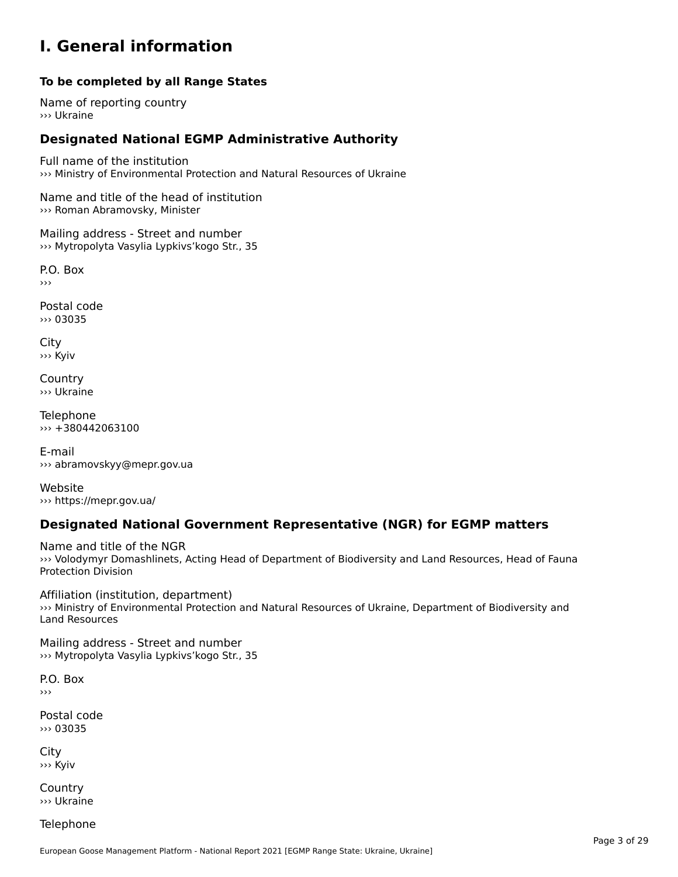#### **I. General information**

#### **To be completed by all Range States**

Name of reporting country››› Ukraine

### **Designated National EGMP Administrative Authority**

Full name of the institution ››› Ministry of Environmental Protection and Natural Resources of Ukraine

Name and title of the head of institution ››› Roman Abramovsky, Minister

Mailing address - Street and number ››› Mytropolyta Vasylia Lypkivs'kogo Str., 35

P.O. Box›››

Postal code ››› 03035

City ››› Kyiv

**Country** ››› Ukraine

Telephone ››› +380442063100

E-mail››› abramovskyy@mepr.gov.ua

Website››› https://mepr.gov.ua/

### **Designated National Government Representative (NGR) for EGMP matters**

Name and title of the NGR ivatile and the of the NGT<br>>>> Volodymyr Domashlinets, Acting Head of Department of Biodiversity and Land Resources, Head of Fauna **Protection Division** 

Affiliation (institution, department) ››› Ministry of Environmental Protection and Natural Resources of Ukraine, Department of Biodiversity and Land Resources

Mailing address - Street and number ››› Mytropolyta Vasylia Lypkivs'kogo Str., 35

P.O. Box›››

Postal code››› 03035

City ››› Kyiv

Country››› Ukraine

Telephone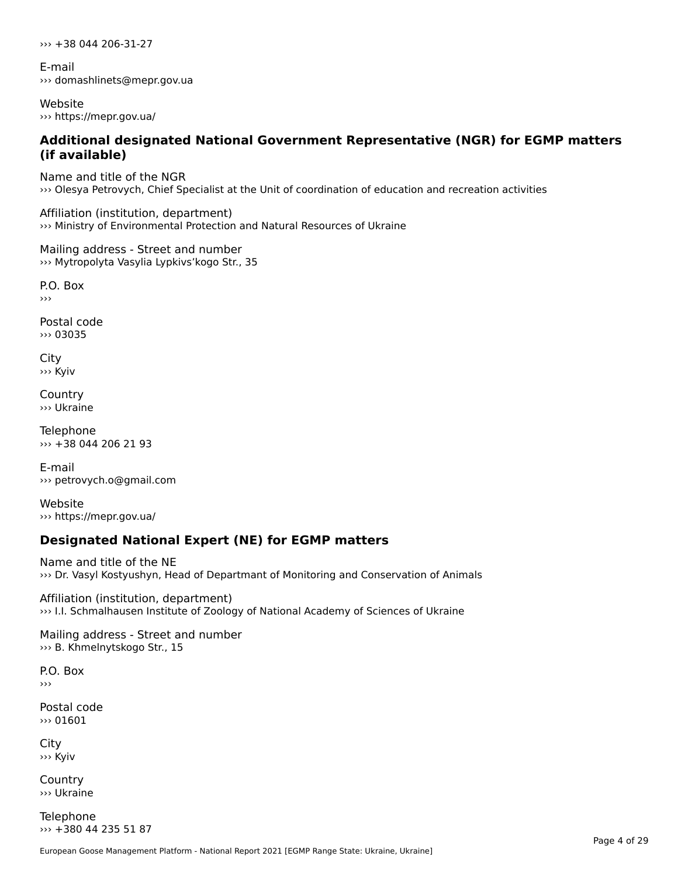››› +38 044 206-31-27

E-mail ››› domashlinets@mepr.gov.ua

Website ››› https://mepr.gov.ua/

# **Additional designated National Government Representative (NGR) for EGMP matters (if available)**

Name and title of the NGR ››› Olesya Petrovych, Chief Specialist at the Unit of coordination of education and recreation activities

Affiliation (institution, department) ››› Ministry of Environmental Protection and Natural Resources of Ukraine

Mailing address - Street and number ››› Mytropolyta Vasylia Lypkivs'kogo Str., 35

P.O. Box

Postal code››› 03035

City ››› Kyiv

**Country** ››› Ukraine

Telephone ››› +38 044 206 21 93

E-mail››› petrovych.o@gmail.com

Website››› https://mepr.gov.ua/

### **Designated National Expert (NE) for EGMP matters**

Name and title of the NE ››› Dr. Vasyl Kostyushyn, Head of Departmant of Monitoring and Conservation of Animals

Affiliation (institution, department) ››› I.I. Schmalhausen Institute of Zoology of National Academy of Sciences of Ukraine

Mailing address - Street and number ››› B. Khmelnytskogo Str., 15

P.O. Box

Postal code ››› 01601

City ››› Kyiv

**Country** ››› Ukraine

Telephone ››› +380 44 235 51 87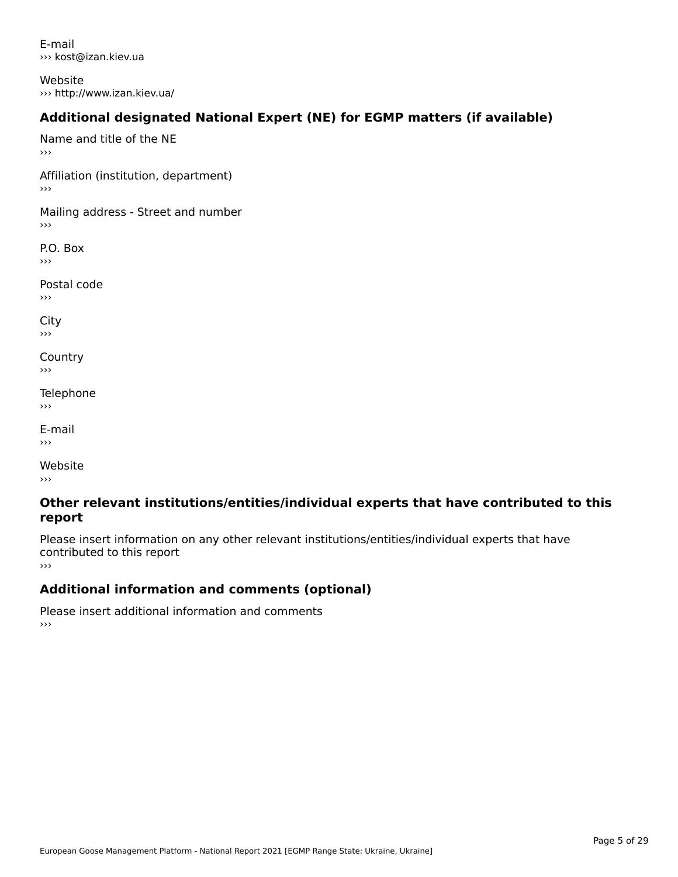E-mail››› kost@izan.kiev.ua

Website ››› http://www.izan.kiev.ua/

### **Additional designated National Expert (NE) for EGMP matters (if available)**

Name and title of the NE›››Affiliation (institution, department) Mailing address - Street and number  $\rightarrow$   $>$ 

P.O. Box ›››

Postal code

›››

City ااب<br><<

**Country**  $\rightarrow$   $>$ 

Telephone ›››

E-mail›››

Website›››

#### **Other relevant institutions/entities/individual experts that have contributed to this report**report

Please insert information on any other relevant institutions/entities/individual experts that have continuated to this report

### **Additional information and comments (optional)**

Please insert additional information and comments ›››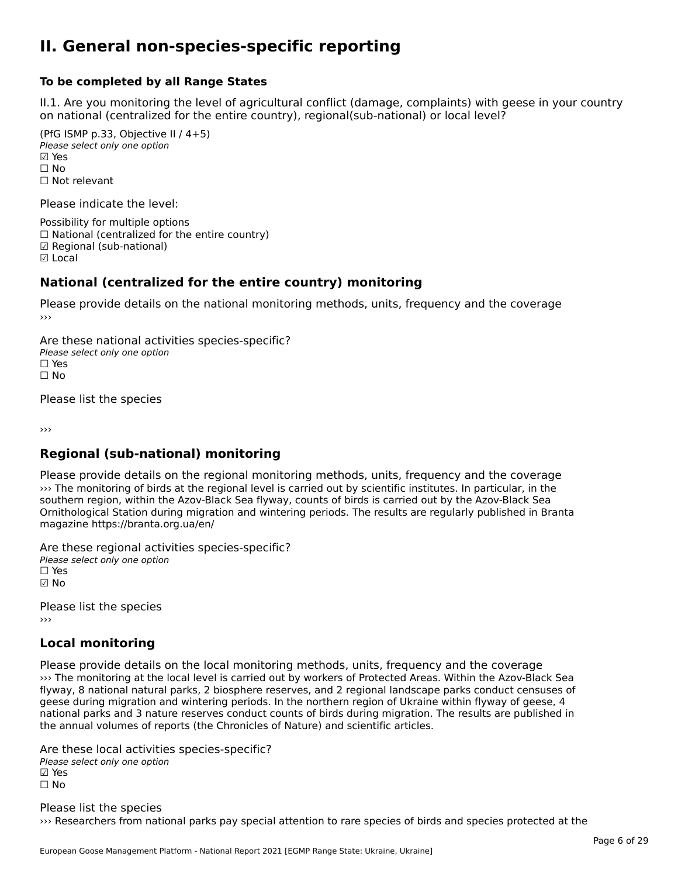#### **II. General non-species-specific reporting**

#### **To be completed by all Range States**

II.1. Are you monitoring the level of agricultural conflict (damage, complaints) with geese in your country n.i. Are you monitoring the lever or agricultural connict (damage, complaints) with g<br>on national (centralized for the entire country), regional(sub-national) or local level?

(PfG ISMP p.33, Objective II  $(4+5)$ ) Please select only one option ☑ Yes**☑ Yes**<br>□ No □ No<br>□ Not relevant

Please indicate the level:

Possibility for multiple options  $\Box$  National (centralized for the entire country) **☑ Regional (sub-national)**<br>☑ Local

#### **National (centralized for the entire country) monitoring**

Please provide details on the national monitoring methods, units, frequency and the coverage

Are these national activities species-specific? ∩ne enese national activity<br>Please select only one option ים וכ<br>⊡ No

Please list the species

›››

#### **Regional (sub-national) monitoring**

Please provide details on the regional monitoring methods, units, frequency and the coverage ››› The monitoring of birds at the regional level is carried out by scientific institutes. In particular, in the southern region, within the Azov-Black Sea flyway, counts of birds is carried out by the Azov-Black Sea Southern region, within the Azov-Black Sea hyway, counts or birds is carried out by the Azov-Black Sea<br>Ornithological Station during migration and wintering periods. The results are regularly published in Branta magazine https://branta.org.ua/en/

Are these regional activities species-specific?

∩ne enese regional activ<br>Please select only one option ☑ No

Please list the species ›››

### **Local monitoring**

Please provide details on the local monitoring methods, units, frequency and the coverage ››› The monitoring at the local level is carried out by workers of Protected Areas. Within the Azov-Black Sea whe monitoring at the local level is carried out by workers or Protected Areas. Within the Azov-Black Sea<br>flyway, 8 national natural parks, 2 biosphere reserves, and 2 regional landscape parks conduct censuses of nyway, o hadonal hatural parks, 2 biosphere reserves, and 2 regional landscape parks conduct censuses<br>geese during migration and wintering periods. In the northern region of Ukraine within flyway of geese, 4 geese during migration and wintening periods. In the northern region or okrame within hyway or geese, 4<br>national parks and 3 nature reserves conduct counts of birds during migration. The results are published in the annual volumes of reports (the Chronicles of Nature) and scientific articles.

Are these local activities species-specific? ∧ne these local detivitie.<br>Please select only one option **☑ Yes**<br>□ No

Please list the species ››› Researchers from national parks pay special attention to rare species of birds and species protected at the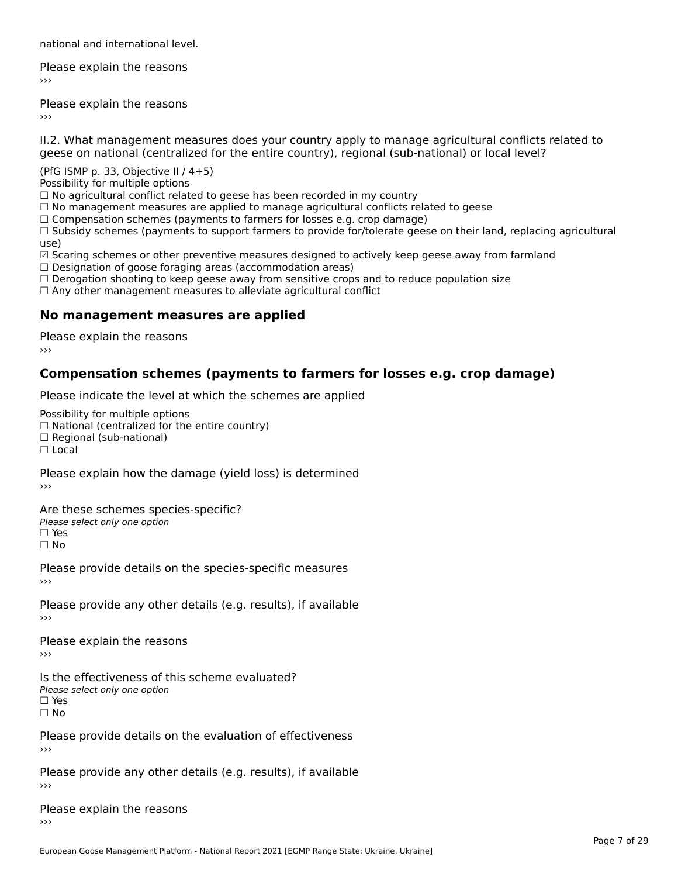national and international level.

Please explain the reasons›››

Please explain the reasons ›››

II.2. What management measures does your country apply to manage agricultural conflicts related to

(PfG ISMP p. 33, Objective II  $/$  4+5)

Possibility for multiple options

rossibility for multiple options<br>□ No agricultural conflict related to geese has been recorded in my country

 $\Box$  No management measures are applied to manage agricultural conflicts related to geese

□ No management measures are applied to manage agricultural connicts rela<br>□ Compensation schemes (payments to farmers for losses e.g. crop damage)

∟ Compensation schemes (payments to farmers for fosses e.g. crop damage)<br>□ Subsidy schemes (payments to support farmers to provide for/tolerate geese on their land, replacing agricultural use)

☑ Scaring schemes or other preventive measures designed to actively keep geese away from farmland⊠ Scaring scrientes of other preventive measures designed to a<br>□ Designation of goose foraging areas (accommodation areas)

□ Designation or goose foraging areas (accommodation areas)<br>□ Derogation shooting to keep geese away from sensitive crops and to reduce population size

□ Derogation shooting to keep geese away nom sensitive crops and<br>□ Any other management measures to alleviate agricultural conflict

### **No management measures are applied**

Please explain the reasons ›››

### **Compensation schemes (payments to farmers for losses e.g. crop damage)**

Please indicate the level at which the schemes are applied

Possibility for multiple options

™assibility for multiple options<br>□ National (centralized for the entire country)

□ National (centralized io<br>□ Regional (sub-national)

☐ Local

Please explain how the damage (yield loss) is determined

Are these schemes species-specific?Please select only one option☐ Yes

☐ No

Please provide details on the species-specific measures

Please provide any other details (e.g. results), if available

Please explain the reasons

Is the effectiveness of this scheme evaluated?Please select only one option ☐ Yes☐ No

Please provide details on the evaluation of effectiveness

Please provide any other details (e.g. results), if available

Please explain the reasons›››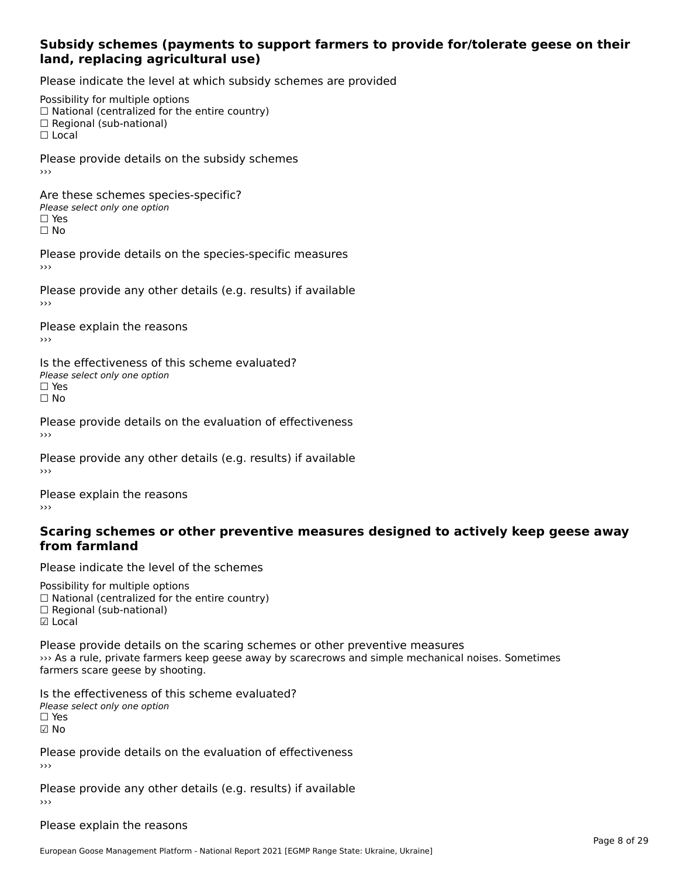#### **Subsidy schemes (payments to support farmers to provide for/tolerate geese on their land, replacing agricultural use)**

Please indicate the level at which subsidy schemes are provided

Possibility for multiple options rossibility for multiple options<br>□ National (centralized for the entire country) □ Regional (centranzed to<br>□ Regional (sub-national) ☐ Local

Please provide details on the subsidy schemes

Are these schemes species-specific?∩ne these senemes spee<br>Please select only one option □ Yes<br>□ No

Please provide details on the species-specific measures

Please provide any other details (e.g. results) if available

Please explain the reasons ›››

Is the effectiveness of this scheme evaluated?□ CIC CILCCLIVENC55 OF C<br>Please select only one option □ Yes<br>□ No

Please provide details on the evaluation of effectiveness

Please provide any other details (e.g. results) if available

Please explain the reasons

#### **Scaring schemes or other preventive measures designed to actively keep geese awayfrom farmland**

Please indicate the level of the schemes

Possibility for multiple options  $\Box$  National (centralized for the entire country)  $\Box$  Regional (sub-national) ☑ Local

Please provide details on the scaring schemes or other preventive measures ››› As a rule, private farmers keep geese away by scarecrows and simple mechanical noises. Sometimes w As a rule, private familiers keep<br>farmers scare geese by shooting.

Is the effectiveness of this scheme evaluated? □ CIC CILCCLIVENC55 OF C<br>Please select only one option ☑ No

Please provide details on the evaluation of effectiveness

Please provide any other details (e.g. results) if available

Please explain the reasons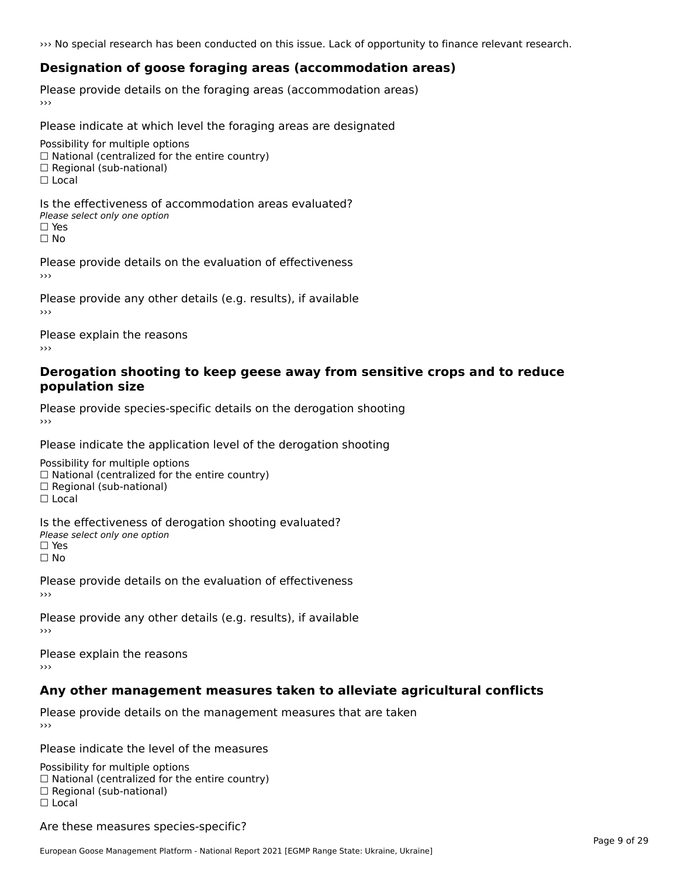››› No special research has been conducted on this issue. Lack of opportunity to finance relevant research.

### **Designation of goose foraging areas (accommodation areas)**

Please provide details on the foraging areas (accommodation areas)

Please indicate at which level the foraging areas are designated

Possibility for multiple options rossibility for multiple options<br>□ National (centralized for the entire country) □ National (centralized io<br>□ Regional (sub-national)

 $\Box$  Local

Is the effectiveness of accommodation areas evaluated?□ CITC CITCCITCITESS OF Q<br>Please select only one option □ Yes<br>□ No

Please provide details on the evaluation of effectiveness

Please provide any other details (e.g. results), if available

Please explain the reasons

#### **Derogation shooting to keep geese away from sensitive crops and to reduce population size**

Please provide species-specific details on the derogation shooting ›››

Please indicate the application level of the derogation shooting

Possibility for multiple options  $\Box$  National (centralized for the entire country)<br> $\Box$  National (centralized for the entire country)  $\Box$  Regional (sub-national) ☐ Local

Is the effectiveness of derogation shooting evaluated? □ CILC CILCCIVENC55 OF O<br>Please select only one option

□ Yes<br>□ No

Please provide details on the evaluation of effectiveness

Please provide any other details (e.g. results), if available

Please explain the reasons

### **Any other management measures taken to alleviate agricultural conflicts**

Please provide details on the management measures that are taken

Please indicate the level of the measures

Possibility for multiple options rossibility for multiple options<br>□ National (centralized for the entire country) □ National (centralized io<br>□ Regional (sub-national) ☐ Local

Are these measures species-specific?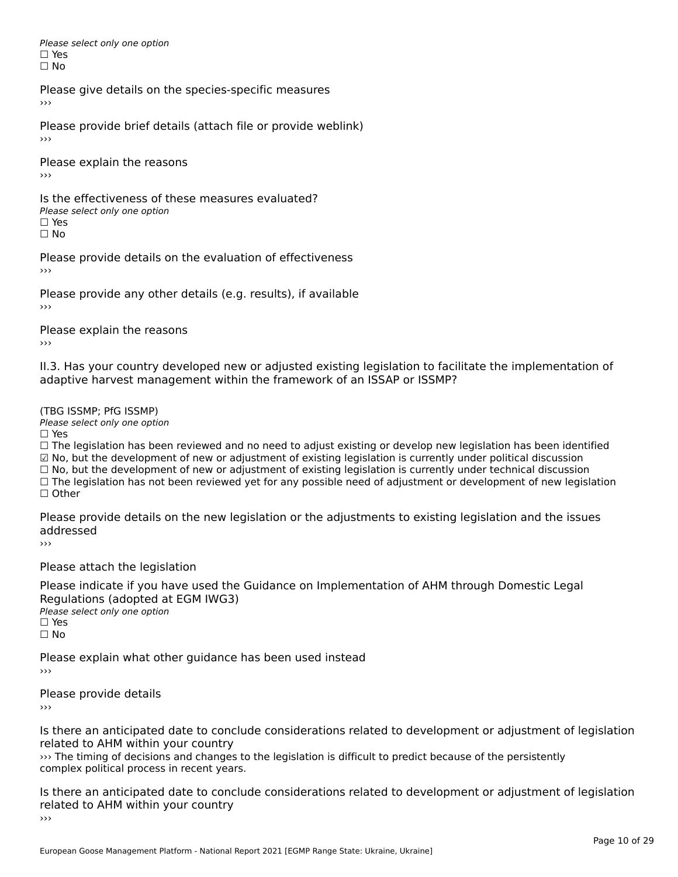Please select only one option □ Yes<br>□ No

Please give details on the species-specific measures

Please provide brief details (attach file or provide weblink)

Please explain the reasons ›››

Is the effectiveness of these measures evaluated?□ CITC CITCCLIVERESS OF C<br>Please select only one option □ Yes<br>□ No

Please provide details on the evaluation of effectiveness

Please provide any other details (e.g. results), if available

Please explain the reasons

II.3. Has your country developed new or adjusted existing legislation to facilitate the implementation of

(TBG ISSMP; PfG ISSMP)

Please select only one option ☐ Yes

☐ The legislation has been reviewed and no need to adjust existing or develop new legislation has been identified ☑ No, but the development of new or adjustment of existing legislation is currently under political discussion ⊠ No, but the development of new or adjustment of existing legislation is currently under political discussion<br>□ No, but the development of new or adjustment of existing legislation is currently under technical discussion □ No, but the development of hew or adjustment of existing regislation is currently under technical discussion<br>□ The legislation has not been reviewed yet for any possible need of adjustment or development of new legislat

Please provide details on the new legislation or the adjustments to existing legislation and the issues addressed

Please attach the legislation

Please indicate if you have used the Guidance on Implementation of AHM through Domestic Legal Regulations (adopted at EGM IWG3)<br>Please select only one option *riease*<br>□ Yes ☐ No

Please explain what other guidance has been used instead

Please provide details

Is there an anticipated date to conclude considerations related to development or adjustment of legislation related to AHM within your country

››› The timing of decisions and changes to the legislation is difficult to predict because of the persistently we rule unling or decisions and changes to<br>complex political process in recent years.

Is there an anticipated date to conclude considerations related to development or adjustment of legislation Fracture to Army within your country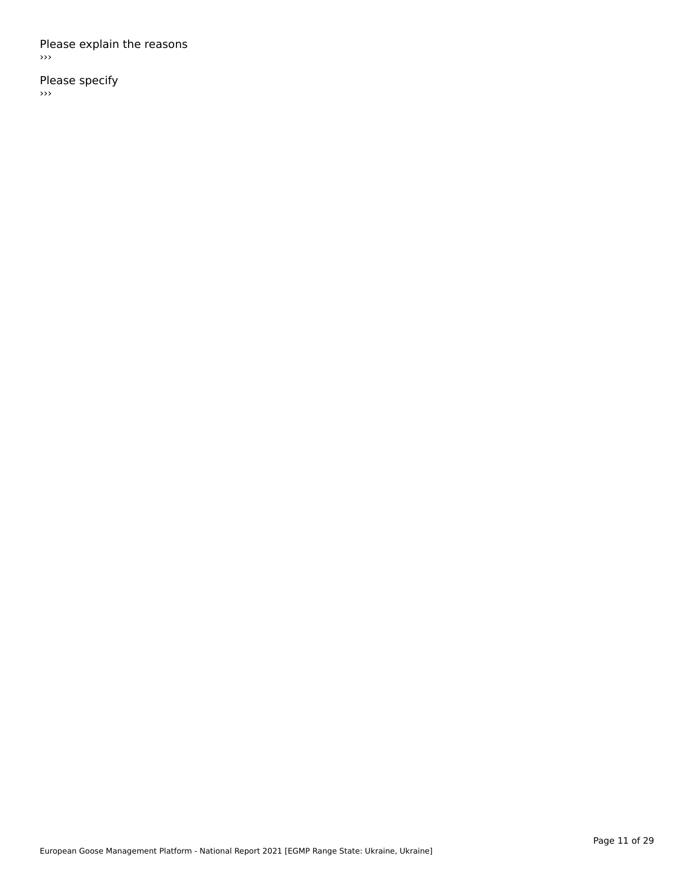#### Please explain the reasons ›››

Please specify

 $\rightarrow$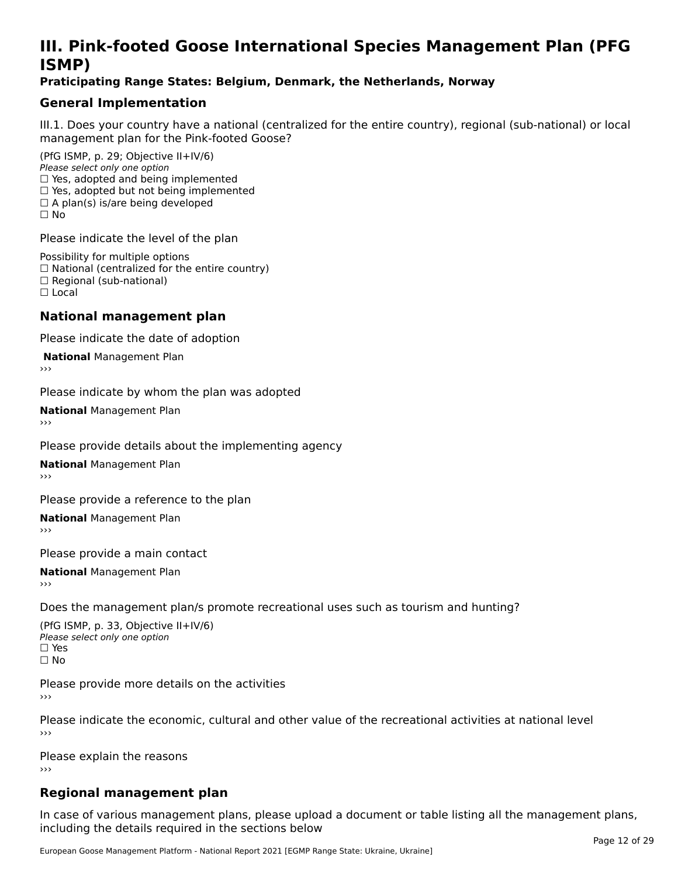### **III. Pink-footed Goose International Species Management Plan (PFG**III. FII<br>ICMAD)

#### **Praticipating Range States: Belgium, Denmark, the Netherlands, Norway**

### **General Implementation**

III.1. Does your country have a national (centralized for the entire country), regional (sub-national) or local

(PfG ISMP, p. 29; Objective II+IV/6) Please select only one option *riease select only one option*<br>□ Yes, adopted and being implemented  $\Box$  res, adopted and being implemented<br> $\Box$  Yes, adopted but not being implemented  $\Box$  A plan(s) is/are being developed ☐ No

Please indicate the level of the plan

Possibility for multiple options rossibility for multiple options<br>□ National (centralized for the entire country) □ National (centralized io<br>□ Regional (sub-national) ☐ Local

#### **National management plan**

Please indicate the date of adoption

**National Management Plan** 

Please indicate by whom the plan was adopted

**National** Management Plan

Please provide details about the implementing agency

**National** Management Plan

Please provide a reference to the plan

**National** Management Plan

Please provide a main contact

**National** Management Plan

Does the management plan/s promote recreational uses such as tourism and hunting?

(PfG ISMP, p. 33, Objective II+IV/6) Please select only one optionPlease select only one option  $\square$  Yes ☐ No

Please provide more details on the activities›››

Please indicate the economic, cultural and other value of the recreational activities at national level

Please explain the reasons ›››

### **Regional management plan**

In case of various management plans, please upload a document or table listing all the management plans, $\frac{1}{2}$  case of various management plans, please uploa including the details required in the sections below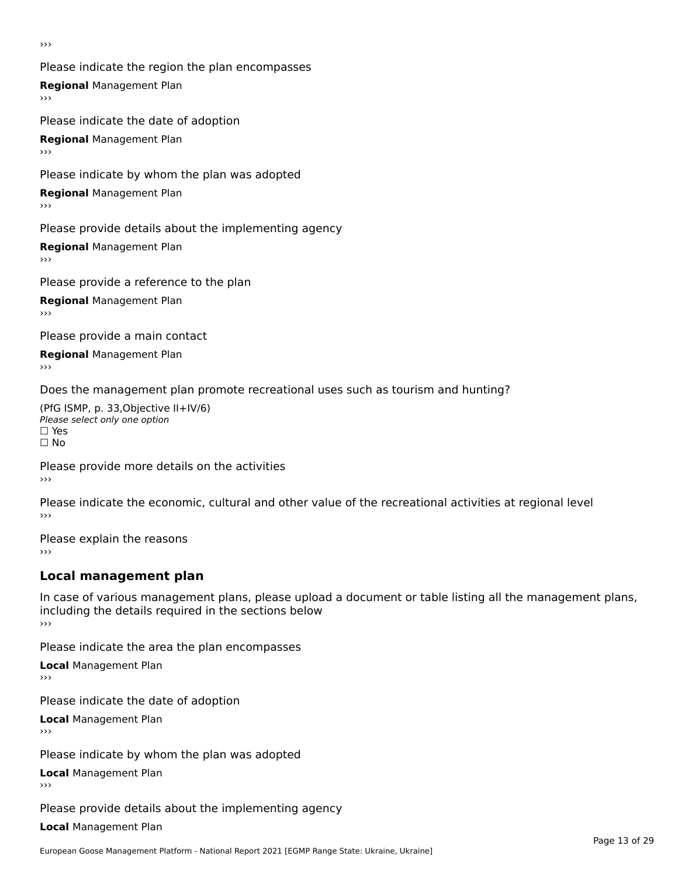›››

Please indicate the region the plan encompasses **Regional** Management Plan Please indicate the date of adoption

**Regional** Management Plan

Please indicate by whom the plan was adopted

**Regional** Management Plan

Please provide details about the implementing agency

**Regional** Management Plan

Please provide a reference to the plan

**Regional** Management Plan

Please provide a main contact

**Regional** Management Plan

Does the management plan promote recreational uses such as tourism and hunting?

(PfG ISMP, p. 33,Objective II+IV/6) ∩∩ וויוכו פון<br>Please select only one option<br>□ Yes □ Yes<br>□ No

Please provide more details on the activities ›››

Please indicate the economic, cultural and other value of the recreational activities at regional level

Please explain the reasons ›››

### **Local management plan**

In case of various management plans, please upload a document or table listing all the management plans, in case or various management plans, please uploa<br>including the details required in the sections below ›››

Please indicate the area the plan encompasses

**Local** Management Plan

Please indicate the date of adoption

**Local** Management Plan›››

Please indicate by whom the plan was adopted

**Local** Management Plan

Please provide details about the implementing agency

**Local** Management Plan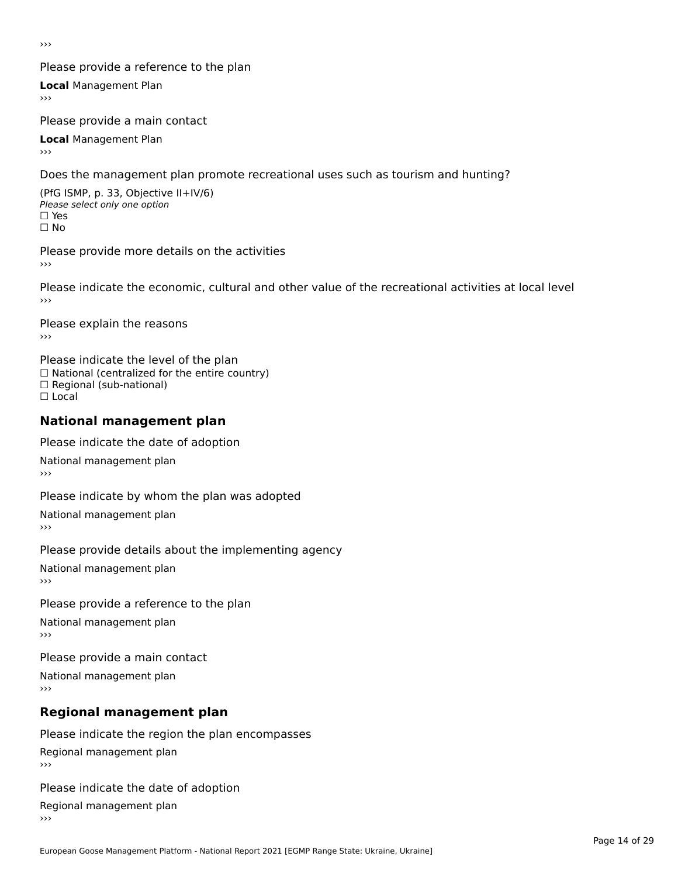›››

#### Please provide a reference to the plan

**Local** Management Plan

Please provide a main contact

**Local** Management Plan

Does the management plan promote recreational uses such as tourism and hunting?

(PfG ISMP, p. 33, Objective II+IV/6) Please select only one option☐ Yes☐ No

Please provide more details on the activities

Please indicate the economic, cultural and other value of the recreational activities at local level

Please explain the reasons ›››

Please indicate the level of the plan ∩ease marcate the lever of the plan<br>□ National (centralized for the entire country) □ National (centralized io<br>□ Regional (sub-national) ☐ Local

#### **National management plan**

Please indicate the date of adoption

National management plan

Please indicate by whom the plan was adopted

National management plan

Please provide details about the implementing agency

National management plan

#### Please provide a reference to the plan

National management plan

Please provide a main contact

National management plan

### **Regional management plan**

Please indicate the region the plan encompasses Regional management plan

Please indicate the date of adoption

Regional management plan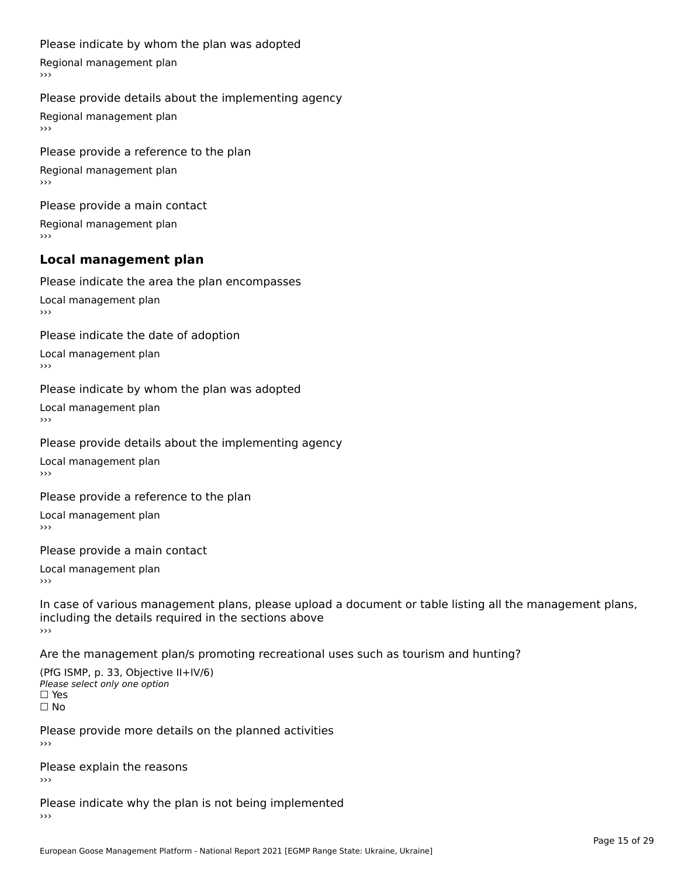#### Please indicate by whom the plan was adopted

Regional management plan

#### Please provide details about the implementing agency

Regional management plan

Please provide a reference to the plan Regional management plan

Please provide a main contact Regional management plan

#### **Local management plan**

Please indicate the area the plan encompasses

Local management plan $\overline{\phantom{a}}$  $\rightarrow$   $>$ 

Please indicate the date of adoption

Local management plan $\overline{v}$ 

Please indicate by whom the plan was adopted Local management plan›››

Please provide details about the implementing agency

Local management plan $\overline{v}$ 

Please provide a reference to the plan

Local management plan›››

Please provide a main contact

Local management plan $\overline{v}$ 

In case of various management plans, please upload a document or table listing all the management plans,in case or various management plans, please upload including the details required in the sections above<br>>>>

Are the management plan/s promoting recreational uses such as tourism and hunting?

(PfG ISMP, p. 33, Objective II+IV/6) Please select only one option☐ Yes☐ No

Please provide more details on the planned activities

Please explain the reasons›››

Please indicate why the plan is not being implemented›››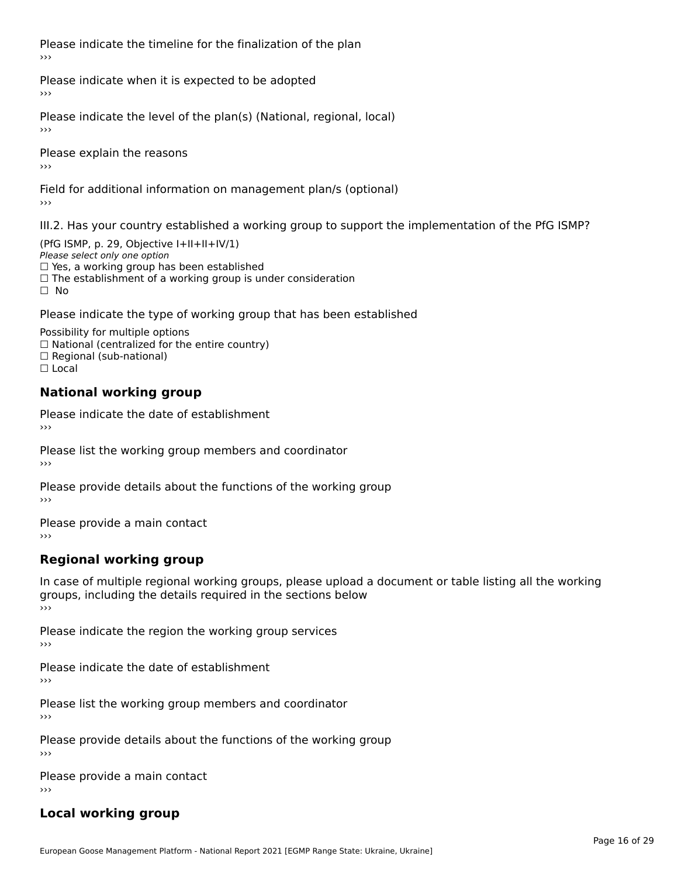Please indicate the timeline for the finalization of the plan›››

Please indicate when it is expected to be adopted

Please indicate the level of the plan(s) (National, regional, local)

Please explain the reasons›››

Field for additional information on management plan/s (optional)

III.2. Has your country established a working group to support the implementation of the PfG ISMP?

(PfG ISMP, p. 29, Objective I+II+II+IV/1)Please select only one option □ Yes, a working group has been established □ Tes, a working group has been established<br>□ The establishment of a working group is under consideration

Please indicate the type of working group that has been established

Possibility for multiple options  $\Box$  National (centralized for the entire country)  $\Box$  Regional (sub-national)  $\Box$  Local

#### **National working group**

Please indicate the date of establishment›››

Please list the working group members and coordinator ›››

Please provide details about the functions of the working group ›››

Please provide a main contact ›››

### **Regional working group**

In case of multiple regional working groups, please upload a document or table listing all the working In case of multiple regional working groups, please upload a<br>groups, including the details required in the sections below ›››

Please indicate the region the working group services ›››

Please indicate the date of establishment ›››

Please list the working group members and coordinator ›››

Please provide details about the functions of the working group ›››

Please provide a main contact ›››

### **Local working group**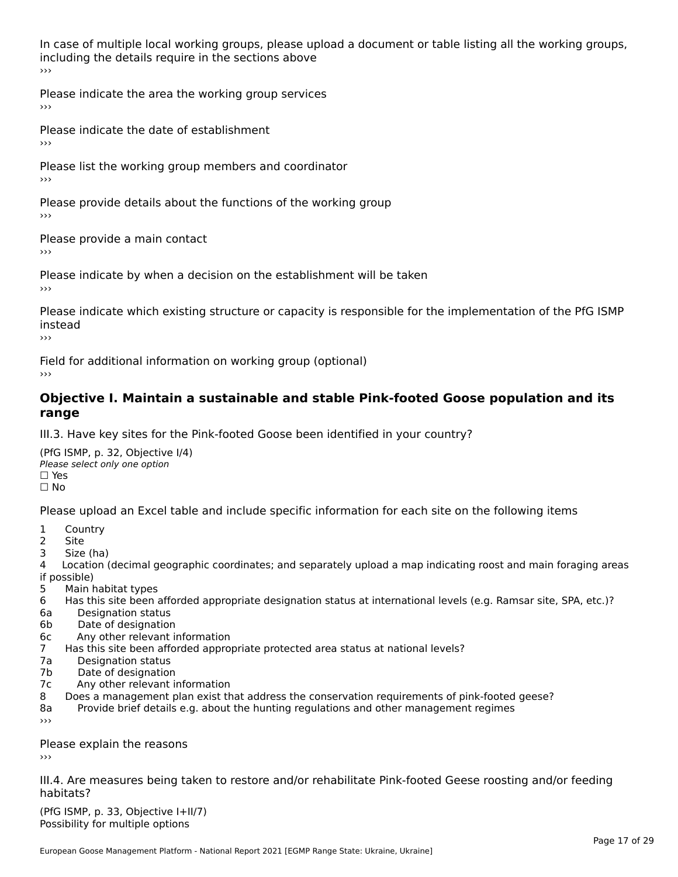In case of multiple local working groups, please upload a document or table listing all the working groups, including the details require in the sections above<br>>>>

Please indicate the area the working group services ›››

Please indicate the date of establishment ›››

Please list the working group members and coordinator ›››

Please provide details about the functions of the working group ›››

Please provide a main contact

›››

Please indicate by when a decision on the establishment will be taken

Please indicate which existing structure or capacity is responsible for the implementation of the PfG ISMP instead

Field for additional information on working group (optional)

#### **Objective I. Maintain a sustainable and stable Pink-footed Goose population and its range**range

III.3. Have key sites for the Pink-footed Goose been identified in your country?

(PfG ISMP, p. 32, Objective I/4)Please select only one option ☐ Yes□ Yes<br>□ No

Please upload an Excel table and include specific information for each site on the following items

- $1 \quad \alpha$
- 2 Site
- 2 Site<br>3 Size (ha)

د حدد una<br>4 Location (decimal geographic coordinates; and separately upload a map indicating roost and main foraging areas 4 Location<br>if possible)

- 5 Main habitat types
- 6 Has this site been afforded appropriate designation status at international levels (e.g. Ramsar site, SPA, etc.)? 6. Bestweetter status
- 6a Designation status<br>6b Date of designation
- 
- 6c Any other relevant information
- 7 Has this site been afforded appropriate protected area status at national levels? 7a Designation status
- 7a Designation status<br>7b Date of designation
- 
- 7c Any other relevant information
- 8 Does a management plan exist that address the conservation requirements of pink-footed geese?
- 8a Provide brief details e.g. about the hunting regulations and other management regimes ›››

Please explain the reasons

III.4. Are measures being taken to restore and/or rehabilitate Pink-footed Geese roosting and/or feeding habitats?

 $(PCI GMP, p. 33, Qb)$  is the I+II/7) Possibility for multiple optionsPossibility for multiple options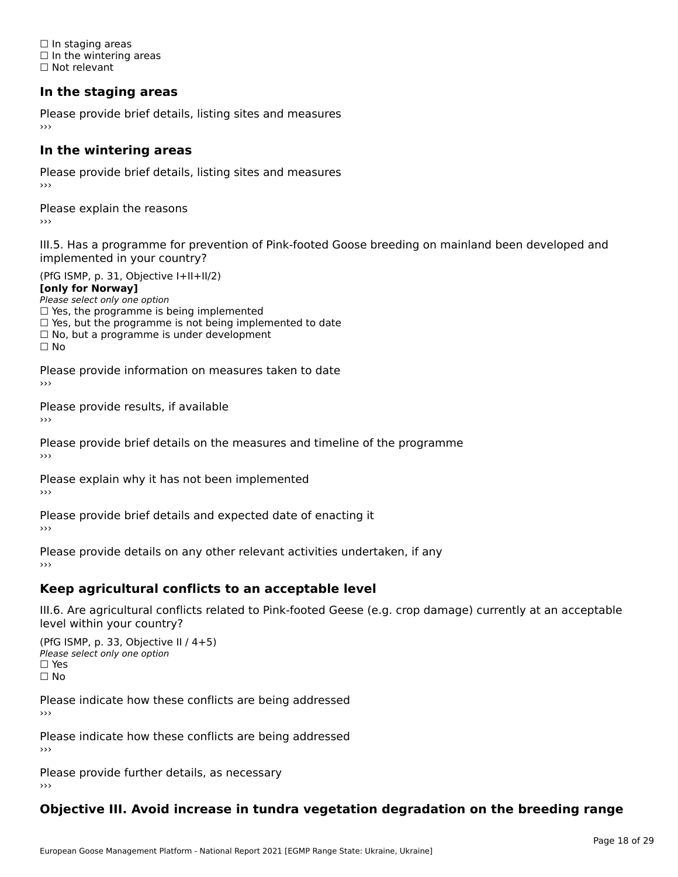☐ In staging areas □ in staging areas<br>□ In the wintering areas ☐ Not relevant

### **In the staging areas**

Please provide brief details, listing sites and measures ›››

#### **In the wintering areas**

Please provide brief details, listing sites and measures ›››

Please explain the reasons

III.5. Has a programme for prevention of Pink-footed Goose breeding on mainland been developed and

(PfG ISMP, p. 31, Objective I+II+II/2)

**[only for Norway]**

Please select only one option riease select only one option<br>□ Yes, the programme is being implemented

 $\Box$  ies, the programme is being implemented to date  $\Box$  Yes, but the programme is not being implemented to date

 $\Box$  No, but a programme is under development

Please provide information on measures taken to date

Please provide results, if available

Please provide brief details on the measures and timeline of the programme›››

Please explain why it has not been implemented

Please provide brief details and expected date of enacting it

Please provide details on any other relevant activities undertaken, if any›››

### **Keep agricultural conflicts to an acceptable level**

III.6. Are agricultural conflicts related to Pink-footed Geese (e.g. crop damage) currently at an acceptable

(PfG ISMP, p. 33, Objective II / 4+5)Please select only one option ☐ Yes☐ No

Please indicate how these conflicts are being addressed

Please indicate how these conflicts are being addressed›››

Please provide further details, as necessary ›››

#### **Objective III. Avoid increase in tundra vegetation degradation on the breeding range**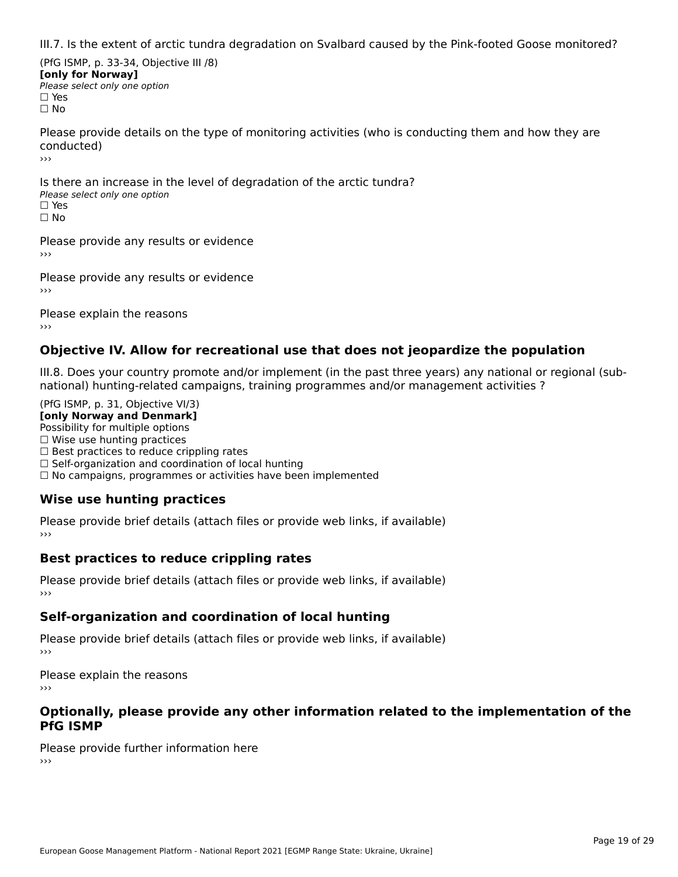III.7. Is the extent of arctic tundra degradation on Svalbard caused by the Pink-footed Goose monitored?

(PfG ISMP, p. 33-34, Objective III /8) **[only for Norway] Please select only one option** □ Yes<br>□ No

Please provide details on the type of monitoring activities (who is conducting them and how they are conducted)›››

Is there an increase in the level of degradation of the arctic tundra? □ CitCre dir increduce in c<br>Please select only one option □ Yes<br>□ No

Please provide any results or evidence

Please provide any results or evidence

Please explain the reasons›››

### **Objective IV. Allow for recreational use that does not jeopardize the population**

III.8. Does your country promote and/or implement (in the past three years) any national or regional (sub $m.0.168$  your country promove and/or miplement (in the past time years) any national or national) hunting-related campaigns, training programmes and/or management activities ?

(PfG ISMP, p. 31, Objective VI/3) **[only Norway and Denmark]** Possibility for multiple options ☐ Wise use hunting practices  $\Box$  wise use numing practices<br> $\Box$  Best practices to reduce crippling rates □ Best practices to reduce crippinig rates<br>□ Self-organization and coordination of local hunting □ Sen-organization and coordination or local nunting<br>□ No campaigns, programmes or activities have been implemented

### **Wise use hunting practices**

Please provide brief details (attach files or provide web links, if available) ›››

### **Best practices to reduce crippling rates**

Please provide brief details (attach files or provide web links, if available)

### **Self-organization and coordination of local hunting**

Please provide brief details (attach files or provide web links, if available)

Please explain the reasons›››

#### **Optionally, please provide any other information related to the implementation of the PfG ISMP**

Please provide further information here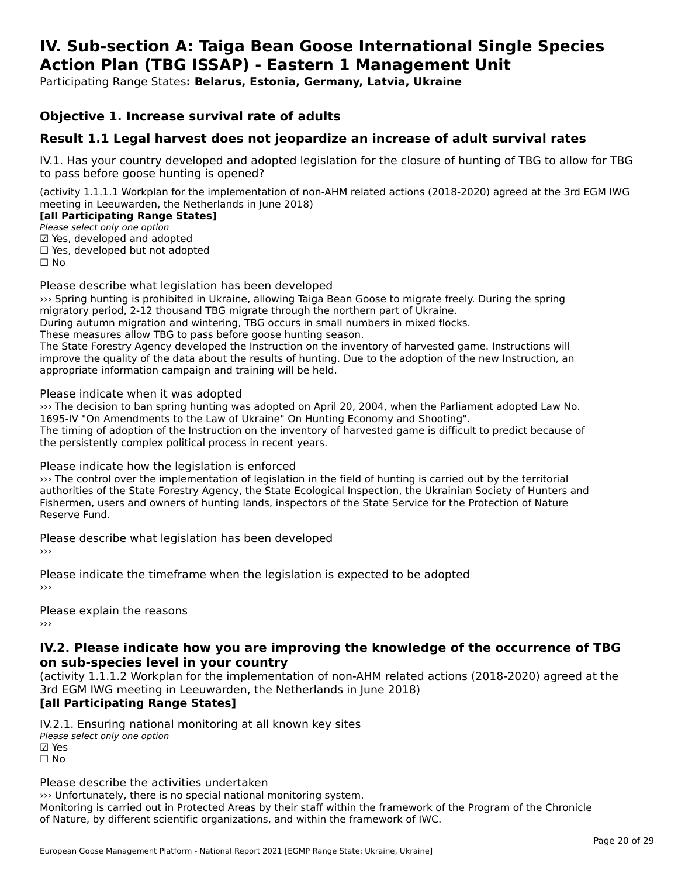#### **IV. Sub-section A: Taiga Bean Goose International Single Species Action Plan (TBG ISSAP) - Eastern 1 Management UnitAction Plan (TBG ISSAP) - Eastern 1 Management Unit**

Participating Range States**: Belarus, Estonia, Germany, Latvia, Ukraine** 

#### **Objective 1. Increase survival rate of adults**

### **Result 1.1 Legal harvest does not jeopardize an increase of adult survival rates**

IV.1. Has your country developed and adopted legislation for the closure of hunting of TBG to allow for TBG to pass before goose hunting is opened?

(activity 1.1.1.1 Workplan for the implementation of non-AHM related actions (2018-2020) agreed at the 3rd EGM IWG meeting in Leeuwarden, the Netherlands in June 2018)

#### **[all Participating Range States]**

Please select only one option ☑ Yes, developed and adopted

☐ Yes, developed but not adopted

 $\Box$  ies, developed but not adopted

Please describe what legislation has been developed

››› Spring hunting is prohibited in Ukraine, allowing Taiga Bean Goose to migrate freely. During the spring www.spinig nunting is prombited in okraine, allowing larga bean Goose to migrate ire<br>migratory period, 2-12 thousand TBG migrate through the northern part of Ukraine.

migratory period, 2-12 thousand TBG migrate through the northern part of OKTallie.<br>During autumn migration and wintering, TBG occurs in small numbers in mixed flocks.

During autumn migration and wintering, 1BG occurs in sinan nun<br>These measures allow TBG to pass before goose hunting season.

The State Forestry Agency developed the Instruction on the inventory of harvested game. Instructions will<br>The State Forestry Agency developed the Instruction on the inventory of harvested game. Instructions will improve the quality of the data about the results of hunting. Due to the adoption of the new Instruction, and improve the quality of the data about the results of hunting. Due to the adoption of the new Instruction, an appropriate information campaign and training will be held.

Please indicate when it was adopted

››› The decision to ban spring hunting was adopted on April 20, 2004, when the Parliament adopted Law No. 1695-IV "On Amendments to the Law of Ukraine" On Hunting Economy and Shooting". Togo-IV On Amendments to the Law of Oxfaine On Hunting Economy and Shooting.<br>The timing of adoption of the Instruction on the inventory of harvested game is difficult to predict because of the persistently complex political process in recent years.

Please indicate how the legislation is enforced

››› The control over the implementation of legislation in the field of hunting is carried out by the territorial authorities of the State Forestry Agency, the State Ecological Inspection, the Ukrainian Society of Hunters and additiontles of the state rolestly Agency, the state Ecological Inspection, the Oxfamilan Society of Hunters<br>Fishermen, users and owners of hunting lands, inspectors of the State Service for the Protection of Nature Reserve Fund.

Please describe what legislation has been developed

Please indicate the timeframe when the legislation is expected to be adopted

Please explain the reasons

#### **IV.2. Please indicate how you are improving the knowledge of the occurrence of TBG on sub-species level in your country**on sub-species level in your country

(activity 1.1.1.2 Workplan for the implementation of non-AHM related actions (2018-2020) agreed at the 3rd EGM IWG meeting in Leeuwarden, the Netherlands in June 2018)

### **[all Participating Range States]**

IV.2.1. Ensuring national monitoring at all known key sites ™ Ensuring nutional<br>Please select only one option **☑ Yes**<br>□ No

Please describe the activities undertaken

››› Unfortunately, there is no special national monitoring system.

Monitoring is carried out in Protected Areas by their staff within the framework of the Program of the Chronicle of Nature, by different scientific organizations, and within the framework of IWC.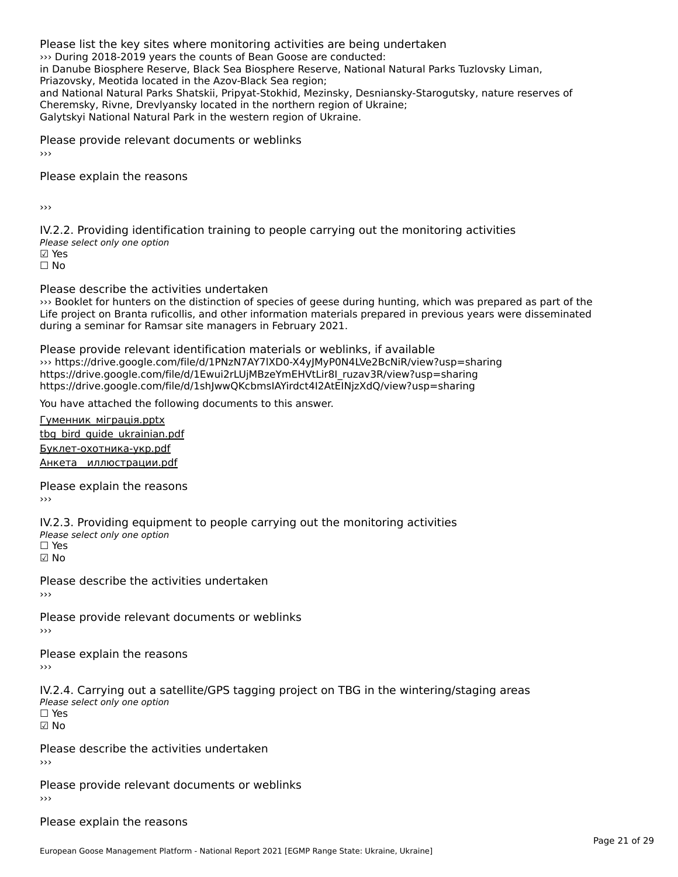Please list the key sites where monitoring activities are being undertaken››› During 2018-2019 years the counts of Bean Goose are conducted: in Danube Biosphere Reserve, Black Sea Biosphere Reserve, National Natural Parks Tuzlovsky Liman, Priazovsky, Meotida located in the Azov-Black Sea region;and National Natural Parks Shatskii, Pripyat-Stokhid, Mezinsky, Desniansky-Starogutsky, nature reserves of and National Natural Parks Shatskil, Pripyat-Stokhid, Mezinsky, Desmanski<br>Cheremsky, Rivne, Drevlyansky located in the northern region of Ukraine; Galytskyi National Natural Park in the western region of Ukraine.

Please provide relevant documents or weblinks

Please explain the reasons

›››

IV.2.2. Providing identification training to people carrying out the monitoring activities Please select only one option ☑ Yes☐ No

Please describe the activities undertaken

ricuse describe the detivities undertaken<br>
Sooklet for hunters on the distinction of species of geese during hunting, which was prepared as part of the Life project on Branta ruficollis, and other information materials prepared in previous years were disseminated during a seminar for Ramsar site managers in February 2021.

Please provide relevant identification materials or weblinks, if available ››› https://drive.google.com/file/d/1PNzN7AY7lXD0-X4yJMyP0N4LVe2BcNiR/view?usp=sharing https://drive.google.com/file/d/1Ewui2rLUjMBzeYmEHVtLir8I\_ruzav3R/view?usp=sharinghttps://drive.google.com/file/d/1shJwwQKcbmsIAYirdct4I2AtEINjzXdQ/view?usp=sharing

You have attached the following documents to this answer.

Гуменник\_міграція.pptx [tbg\\_bird\\_guide\\_ukrainian](http://aewa-ort.ort-production.linode.unep-wcmc.org/answers/3147227/documents/2417).pdf

<u>- эли дана саманнами</u><br>[Буклет-охотника-укр.pdf](http://aewa-ort.ort-production.linode.unep-wcmc.org/answers/3147227/documents/2416)

<u>- ушлого околницату природ</u><br>Анкета иллюстрации.pdf

Please explain the reasons

IV.2.3. Providing equipment to people carrying out the monitoring activities

Please select only one option ☐ Yes

☑ No

Please describe the activities undertaken›››

Please provide relevant documents or weblinks

Please explain the reasons

IV.2.4. Carrying out a satellite/GPS tagging project on TBG in the wintering/staging areas Please select only one option ☐ Yes

☑ No

Please describe the activities undertaken

Please provide relevant documents or weblinks ›››

Please explain the reasons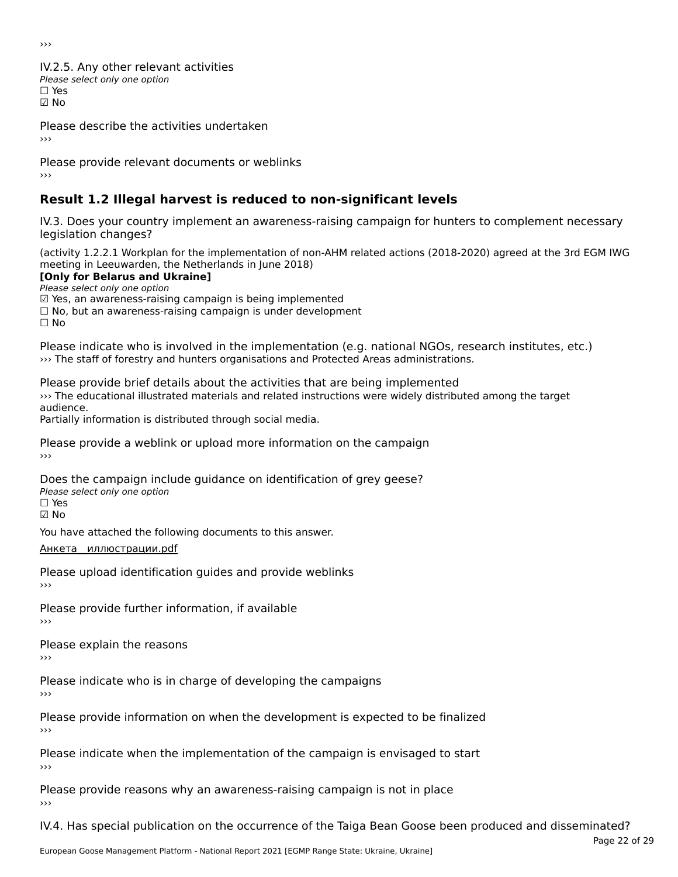›››

IV.2.5. Any other relevant activities Please select only one option ☐ Yes☑ No

Please describe the activities undertaken

›››

Please provide relevant documents or weblinks ›››

### **Result 1.2 Illegal harvest is reduced to non-significant levels**

IV.3. Does your country implement an awareness-raising campaign for hunters to complement necessary rv.5. Does your courr<br>legislation changes?

(activity 1.2.2.1 Workplan for the implementation of non-AHM related actions (2018-2020) agreed at the 3rd EGM IWG meeting in Leeuwarden, the Netherlands in June 2018)

**[Only for Belarus and Ukraine]**

Please select only one option

*riease select only one option*<br>മ Yes, an awareness-raising campaign is being implemented

□ Tes, an awareness-raising campaign is being implemented<br>□ No, but an awareness-raising campaign is under development

Please indicate who is involved in the implementation (e.g. national NGOs, research institutes, etc.) ››› The staff of forestry and hunters organisations and Protected Areas administrations.

Please provide brief details about the activities that are being implemented ››› The educational illustrated materials and related instructions were widely distributed among the target audience.Partially information is distributed through social media.

Please provide a weblink or upload more information on the campaign

Does the campaign include guidance on identification of grey geese? **DOCS** the campaign mer ☑ No

You have attached the following documents to this answer.

[Анкета\\_\\_иллюстрации.pdf](http://aewa-ort.ort-production.linode.unep-wcmc.org/answers/2846887/documents/1788)

Please upload identification guides and provide weblinks

Please provide further information, if available

Please explain the reasons

Please indicate who is in charge of developing the campaigns

Please provide information on when the development is expected to be finalized

Please indicate when the implementation of the campaign is envisaged to start ›››

Please provide reasons why an awareness-raising campaign is not in place

IV.4. Has special publication on the occurrence of the Taiga Bean Goose been produced and disseminated?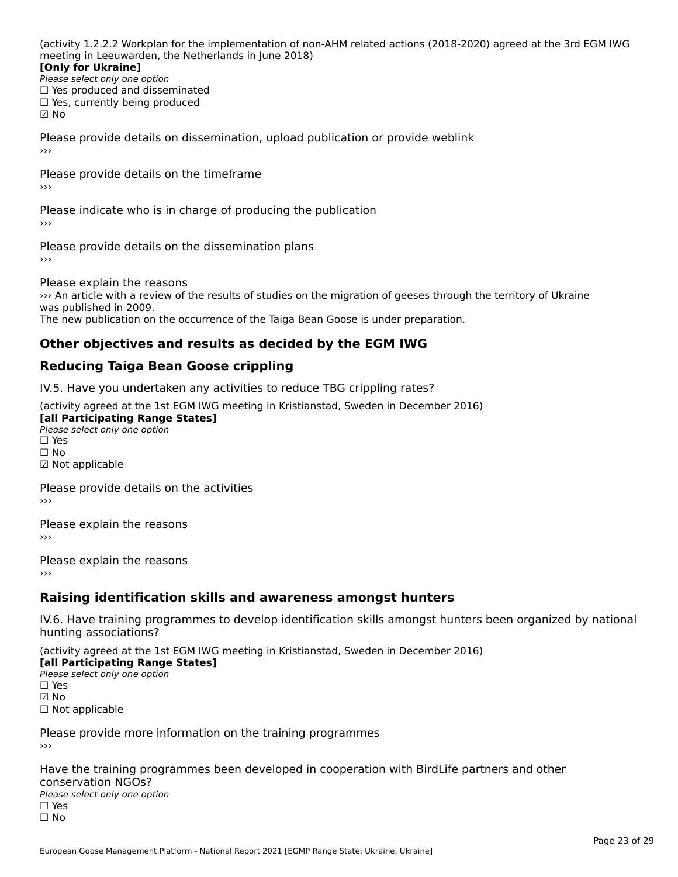(activity 1.2.2.2 Workplan for the implementation of non-AHM related actions (2018-2020) agreed at the 3rd EGM IWG meeting in Leeuwarden, the Netherlands in June 2018)

#### **[Only for Ukraine]**[Only for Ukraine]

**LOTTLY TOT ONTAILLET**<br>Please select only one option *Please select only one option*<br>□ Yes produced and disseminated  $\Box$  ies produced and disseminate<br> $\Box$  Yes, currently being produced ☑ No

Please provide details on dissemination, upload publication or provide weblink

Please provide details on the timeframe›››

Please indicate who is in charge of producing the publication

Please provide details on the dissemination plans›››

Please explain the reasons

››› An article with a review of the results of studies on the migration of geeses through the territory of Ukraine was published in 2009. was published in 2009.<br>The new publication on the occurrence of the Taiga Bean Goose is under preparation.

### **Other objectives and results as decided by the EGM IWG**

### **Reducing Taiga Bean Goose crippling**

IV.5. Have you undertaken any activities to reduce TBG crippling rates?

(activity agreed at the 1st EGM IWG meeting in Kristianstad, Sweden in December 2016)

**[all Participating Range States] Law Tarticipating Range**<br>Please select only one option □ Yes<br>□ No ☑ Not applicable

Please provide details on the activities

Please explain the reasons

Please explain the reasons›››

### **Raising identification skills and awareness amongst hunters**

IV.6. Have training programmes to develop identification skills amongst hunters been organized by nationalrv.o. riave training pro<br>hunting associations?

(activity agreed at the 1st EGM IWG meeting in Kristianstad, Sweden in December 2016) **[all Participating Range States]**

[all Participating Range States] **Law Tarticipating Range**<br>Please select only one option □ Yes<br>☑ No ☐ Not applicable

Please provide more information on the training programmes

Have the training programmes been developed in cooperation with BirdLife partners and other

⊂onservation NGOS.<br>Please select only one option □ Yes<br>□ No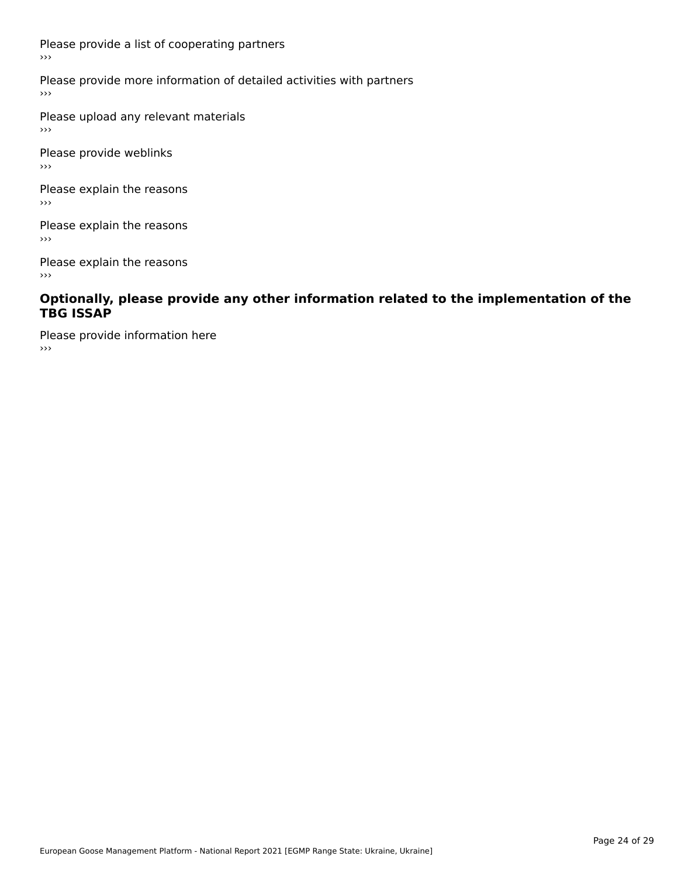Please provide a list of cooperating partners ›››

Please provide more information of detailed activities with partners

Please upload any relevant materials  $\rightarrow$   $>$ 

Please provide weblinks ›››

Please explain the reasons ، ا<br><<

Please explain the reasons  $\rightarrow$   $>$ 

Please explain the reasons ، ا<br><<

#### **Optionally, please provide any other information related to the implementation of the TBG ISSAP**

Please provide information here ›››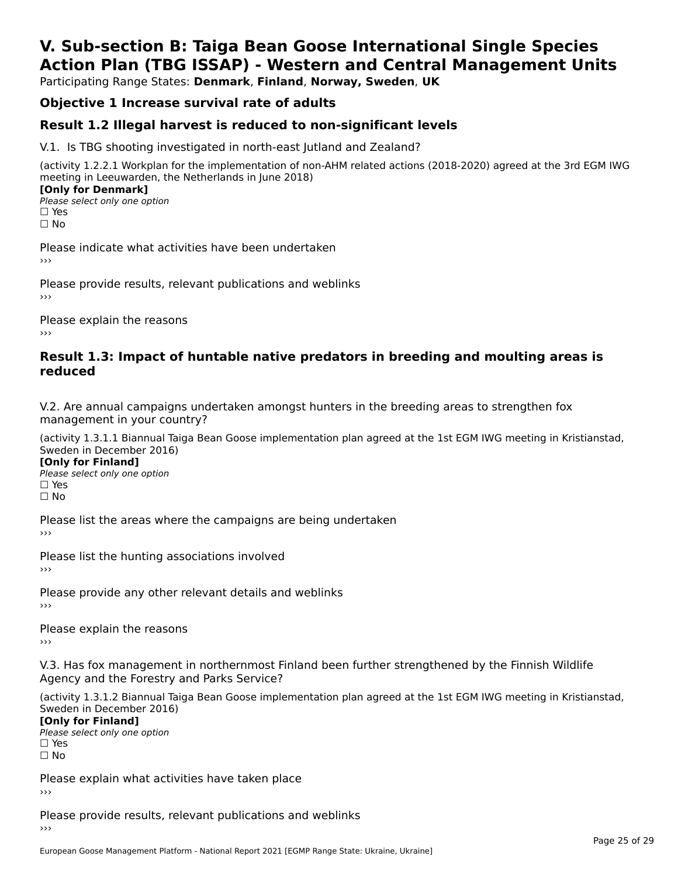### **V. Sub-section B: Taiga Bean Goose International Single SpeciesAction Plan (TBG ISSAP) - Western and Central Management Units**

Participating Range States: **Denmark**, **Finland**, **Norway, Sweden**, **UK**

### **Objective 1 Increase survival rate of adults**

### **Result 1.2 Illegal harvest is reduced to non-significant levels**

V.1. Is TBG shooting investigated in north-east Jutland and Zealand?

(activity 1.2.2.1 Workplan for the implementation of non-AHM related actions (2018-2020) agreed at the 3rd EGM IWG meeting in Leeuwarden, the Netherlands in June 2018) **[Only for Denmark]** 

**□ Please select only one option** □ Yes<br>□ No

Please indicate what activities have been undertaken›››

Please provide results, relevant publications and weblinks ›››

Please explain the reasons›››

#### **Result 1.3: Impact of huntable native predators in breeding and moulting areas is reduced**

V.2. Are annual campaigns undertaken amongst hunters in the breeding areas to strengthen fox v.z. Are annual campaigns und<br>management in your country?

(activity 1.3.1.1 Biannual Taiga Bean Goose implementation plan agreed at the 1st EGM IWG meeting in Kristianstad, Sweden in December 2016)

**[Only for Finland]** Please select only one optionriease<br>□ Yes □ Yes<br>□ No

Please list the areas where the campaigns are being undertaken

Please list the hunting associations involved

Please provide any other relevant details and weblinks ›››

Please explain the reasons

V.3. Has fox management in northernmost Finland been further strengthened by the Finnish Wildlife v.5. Has fox management in northernmost F<br>Agency and the Forestry and Parks Service?

(activity 1.3.1.2 Biannual Taiga Bean Goose implementation plan agreed at the 1st EGM IWG meeting in Kristianstad, Sweden in December 2016) Sweden in December 2016)

[Only for Finland]

**Please select only one option** □ Yes<br>□ No

Please explain what activities have taken place

Please provide results, relevant publications and weblinks ›››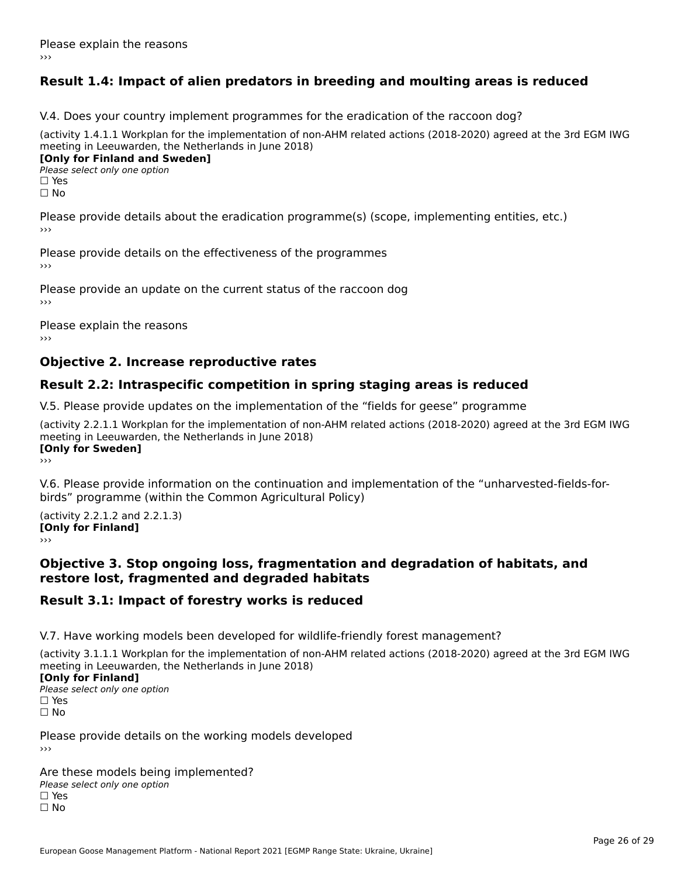### **Result 1.4: Impact of alien predators in breeding and moulting areas is reduced**

V.4. Does your country implement programmes for the eradication of the raccoon dog?

(activity 1.4.1.1 Workplan for the implementation of non-AHM related actions (2018-2020) agreed at the 3rd EGM IWG meeting in Leeuwarden, the Netherlands in June 2018) **[Only for Finland and Sweden]**

**Please select only one option** 

□ Yes<br>□ No

Please provide details about the eradication programme(s) (scope, implementing entities, etc.)

Please provide details on the effectiveness of the programmes

Please provide an update on the current status of the raccoon dog

Please explain the reasons

### **Objective 2. Increase reproductive rates**

### **Result 2.2: Intraspecific competition in spring staging areas is reduced**

V.5. Please provide updates on the implementation of the "fields for geese" programme

(activity 2.2.1.1 Workplan for the implementation of non-AHM related actions (2018-2020) agreed at the 3rd EGM IWG meeting in Leeuwarden, the Netherlands in June 2018) <u>Iony</u> ioi swedenj

V.6. Please provide information on the continuation and implementation of the "unharvested-fields-forbirds" programme (within the Common Agricultural Policy)birds" programme (within the Common Agricultural Policy)

(activity 2.2.1.2 and 2.2.1.3) **CONDUCTS**<br> **[Only for Finland]** 

#### **Objective 3. Stop ongoing loss, fragmentation and degradation of habitats, and restore lost, fragmented and degraded habitats**

#### **Result 3.1: Impact of forestry works is reduced**

V.7. Have working models been developed for wildlife-friendly forest management?

(activity 3.1.1.1 Workplan for the implementation of non-AHM related actions (2018-2020) agreed at the 3rd EGM IWG

#### **[Only for Finland]**

**Please select only one option** □ Yes<br>□ No

Please provide details on the working models developed›››

Are these models being implemented? ∩ne enese moders being<br>Please select only one option □ Yes<br>□ No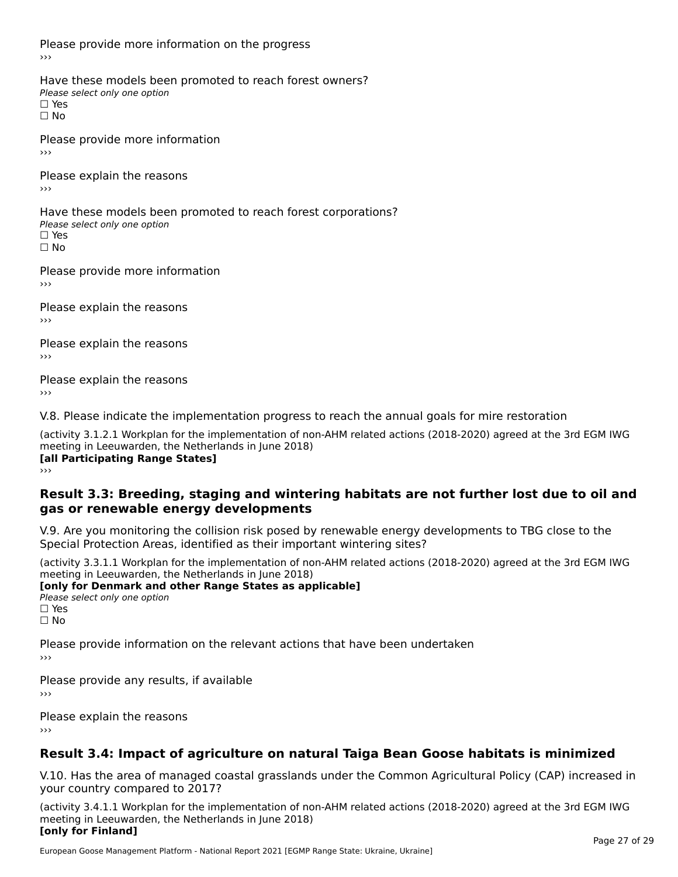Please provide more information on the progress

Have these models been promoted to reach forest owners? ∩ave these models bee<br>Please select only one option □ Yes<br>□ No

Please provide more information›››

Please explain the reasons ›››

Have these models been promoted to reach forest corporations? ∩ave these models bee<br>Please select only one option □ Yes<br>□ No

Please provide more information›››

Please explain the reasons ›››

Please explain the reasons›››

Please explain the reasons›››

V.8. Please indicate the implementation progress to reach the annual goals for mire restoration

(activity 3.1.2.1 Workplan for the implementation of non-AHM related actions (2018-2020) agreed at the 3rd EGM IWG meeting in Leeuwarden, the Netherlands in June 2018) **[all Participating Range States]** ›››

**Result 3.3: Breeding, staging and wintering habitats are not further lost due to oil andgas or renewable energy developments**gas or renewable energy developments

V.9. Are you monitoring the collision risk posed by renewable energy developments to TBG close to the

Special Protection Areas, identified as their important wintering sites? (activity 3.3.1.1 Workplan for the implementation of non-AHM related actions (2018-2020) agreed at the 3rd EGM IWG

**[only for Denmark and other Range States as applicable]**

**Please select only one option** □ Yes<br>□ No

Please provide information on the relevant actions that have been undertaken ›››

Please provide any results, if available

Please explain the reasons

### **Result 3.4: Impact of agriculture on natural Taiga Bean Goose habitats is minimized**

V.10. Has the area of managed coastal grasslands under the Common Agricultural Policy (CAP) increased in

(activity 3.4.1.1 Workplan for the implementation of non-AHM related actions (2018-2020) agreed at the 3rd EGM IWG meeting in Leeuwarden, the Netherlands in June 2018) **[only for Finland]**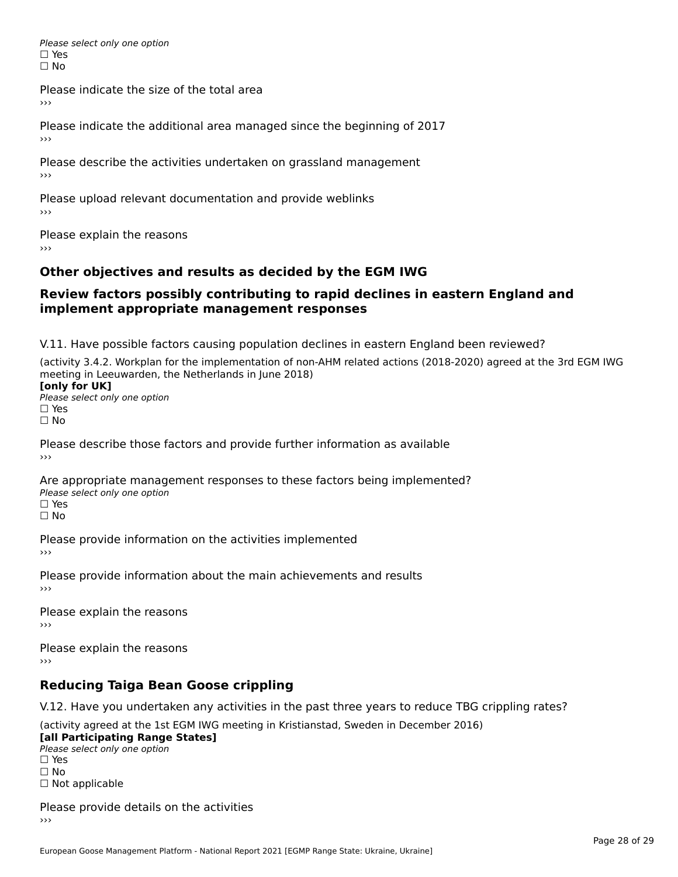Please select only one option □ Yes<br>□ No

Please indicate the size of the total area

›››

Please indicate the additional area managed since the beginning of 2017

Please describe the activities undertaken on grassland management ›››

Please upload relevant documentation and provide weblinks

Please explain the reasons

### **Other objectives and results as decided by the EGM IWG**

#### **Review factors possibly contributing to rapid declines in eastern England andimplement appropriate management responses**implement appropriate management responses

V.11. Have possible factors causing population declines in eastern England been reviewed?

(activity 3.4.2. Workplan for the implementation of non-AHM related actions (2018-2020) agreed at the 3rd EGM IWGmeeting in Leeuwarden, the Netherlands in June 2018) meeting in Leeuwarden, the Netherlands in June 2018)<br>**[only for UK]** 

**∐omy for OR**<br>Please select only one option □ Yes<br>□ No

Please describe those factors and provide further information as available

Are appropriate management responses to these factors being implemented? Please select only one option ים<br>⊡ No

Please provide information on the activities implemented ›››

Please provide information about the main achievements and results›››

Please explain the reasons›››

Please explain the reasons ›››

### **Reducing Taiga Bean Goose crippling**

V.12. Have you undertaken any activities in the past three years to reduce TBG crippling rates?

(activity agreed at the 1st EGM IWG meeting in Kristianstad, Sweden in December 2016) **[all Participating Range States]**

[all Participating Range States] Please select only one option☐ Yesים<br>⊡ No □ Not applicable

Please provide details on the activities››› $\rightarrow$   $>$